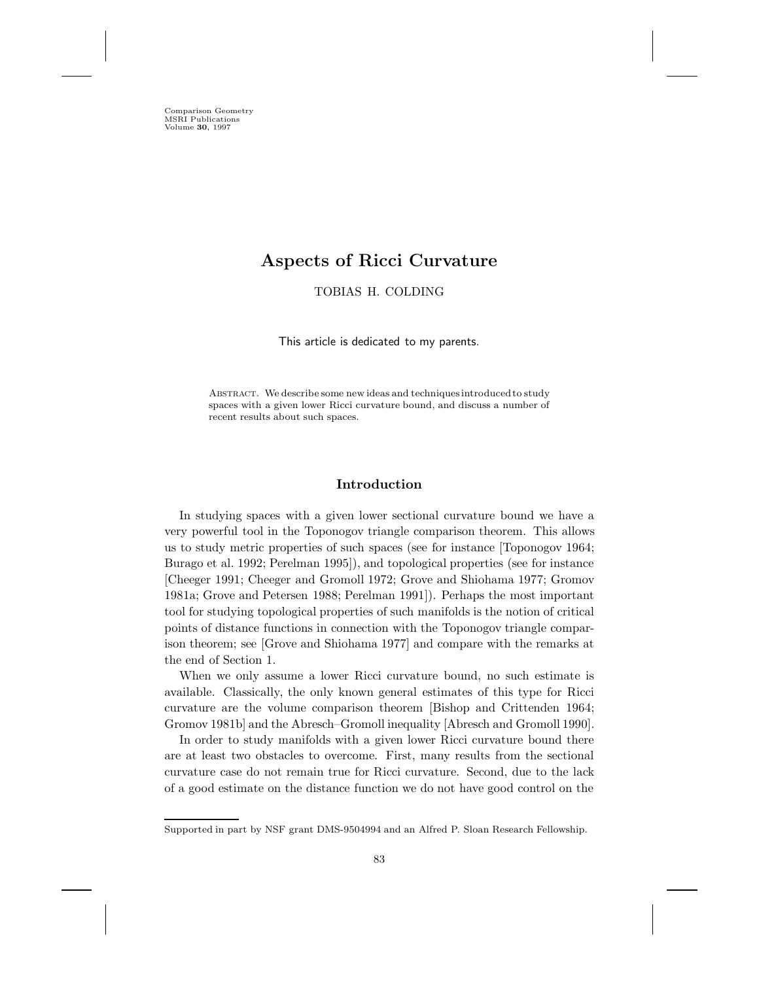Comparison Geometry MSRI Publications Volume **30**, 1997

# **Aspects of Ricci Curvature**

TOBIAS H. COLDING

This article is dedicated to my parents.

Abstract. We describe some new ideas and techniques introduced to study spaces with a given lower Ricci curvature bound, and discuss a number of recent results about such spaces.

## **Introduction**

In studying spaces with a given lower sectional curvature bound we have a very powerful tool in the Toponogov triangle comparison theorem. This allows us to study metric properties of such spaces (see for instance [Toponogov 1964; Burago et al. 1992; Perelman 1995]), and topological properties (see for instance [Cheeger 1991; Cheeger and Gromoll 1972; Grove and Shiohama 1977; Gromov 1981a; Grove and Petersen 1988; Perelman 1991]). Perhaps the most important tool for studying topological properties of such manifolds is the notion of critical points of distance functions in connection with the Toponogov triangle comparison theorem; see [Grove and Shiohama 1977] and compare with the remarks at the end of Section 1.

When we only assume a lower Ricci curvature bound, no such estimate is available. Classically, the only known general estimates of this type for Ricci curvature are the volume comparison theorem [Bishop and Crittenden 1964; Gromov 1981b] and the Abresch–Gromoll inequality [Abresch and Gromoll 1990].

In order to study manifolds with a given lower Ricci curvature bound there are at least two obstacles to overcome. First, many results from the sectional curvature case do not remain true for Ricci curvature. Second, due to the lack of a good estimate on the distance function we do not have good control on the

Supported in part by NSF grant DMS-9504994 and an Alfred P. Sloan Research Fellowship.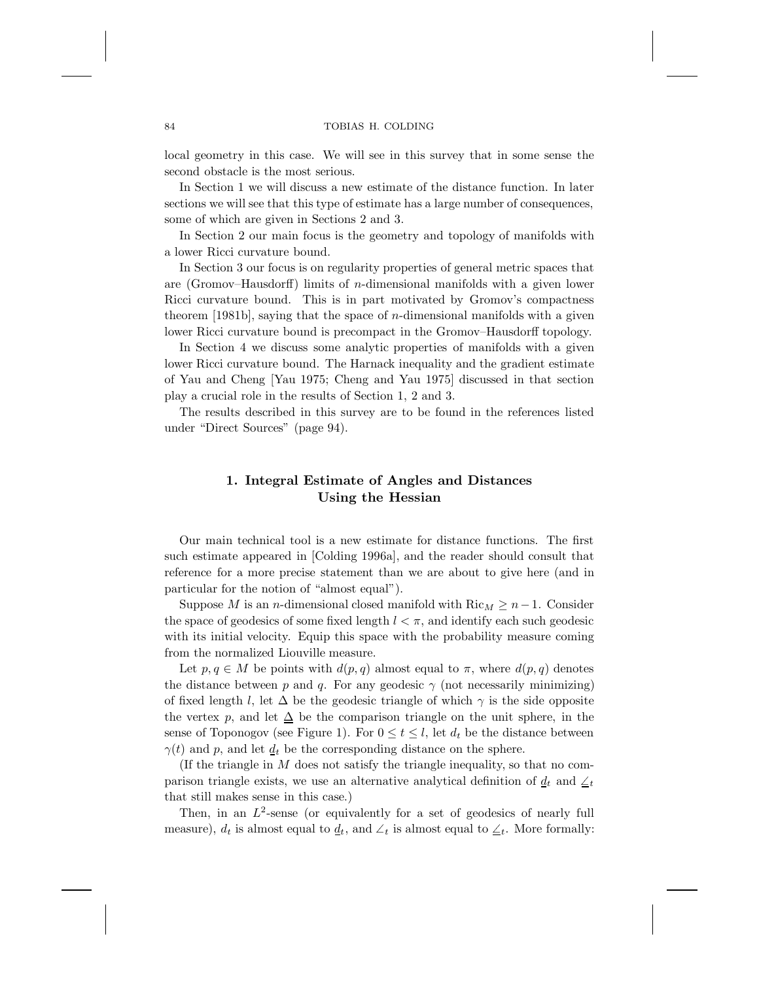local geometry in this case. We will see in this survey that in some sense the second obstacle is the most serious.

In Section 1 we will discuss a new estimate of the distance function. In later sections we will see that this type of estimate has a large number of consequences, some of which are given in Sections 2 and 3.

In Section 2 our main focus is the geometry and topology of manifolds with a lower Ricci curvature bound.

In Section 3 our focus is on regularity properties of general metric spaces that are (Gromov–Hausdorff) limits of n-dimensional manifolds with a given lower Ricci curvature bound. This is in part motivated by Gromov's compactness theorem [1981b], saying that the space of  $n$ -dimensional manifolds with a given lower Ricci curvature bound is precompact in the Gromov–Hausdorff topology.

In Section 4 we discuss some analytic properties of manifolds with a given lower Ricci curvature bound. The Harnack inequality and the gradient estimate of Yau and Cheng [Yau 1975; Cheng and Yau 1975] discussed in that section play a crucial role in the results of Section 1, 2 and 3.

The results described in this survey are to be found in the references listed under "Direct Sources" (page 94).

## **1. Integral Estimate of Angles and Distances Using the Hessian**

Our main technical tool is a new estimate for distance functions. The first such estimate appeared in [Colding 1996a], and the reader should consult that reference for a more precise statement than we are about to give here (and in particular for the notion of "almost equal").

Suppose M is an n-dimensional closed manifold with  $\text{Ric}_M \geq n-1$ . Consider the space of geodesics of some fixed length  $l < \pi$ , and identify each such geodesic with its initial velocity. Equip this space with the probability measure coming from the normalized Liouville measure.

Let  $p, q \in M$  be points with  $d(p, q)$  almost equal to  $\pi$ , where  $d(p, q)$  denotes the distance between p and q. For any geodesic  $\gamma$  (not necessarily minimizing) of fixed length l, let  $\Delta$  be the geodesic triangle of which  $\gamma$  is the side opposite the vertex p, and let  $\Delta$  be the comparison triangle on the unit sphere, in the sense of Toponogov (see Figure 1). For  $0 \le t \le l$ , let  $d_t$  be the distance between  $\gamma(t)$  and p, and let  $d_t$  be the corresponding distance on the sphere.

(If the triangle in  $M$  does not satisfy the triangle inequality, so that no comparison triangle exists, we use an alternative analytical definition of  $d_t$  and  $\leq_t$ that still makes sense in this case.)

Then, in an  $L^2$ -sense (or equivalently for a set of geodesics of nearly full measure),  $d_t$  is almost equal to  $\underline{d}_t$ , and  $\angle_t$  is almost equal to  $\angle_t$ . More formally: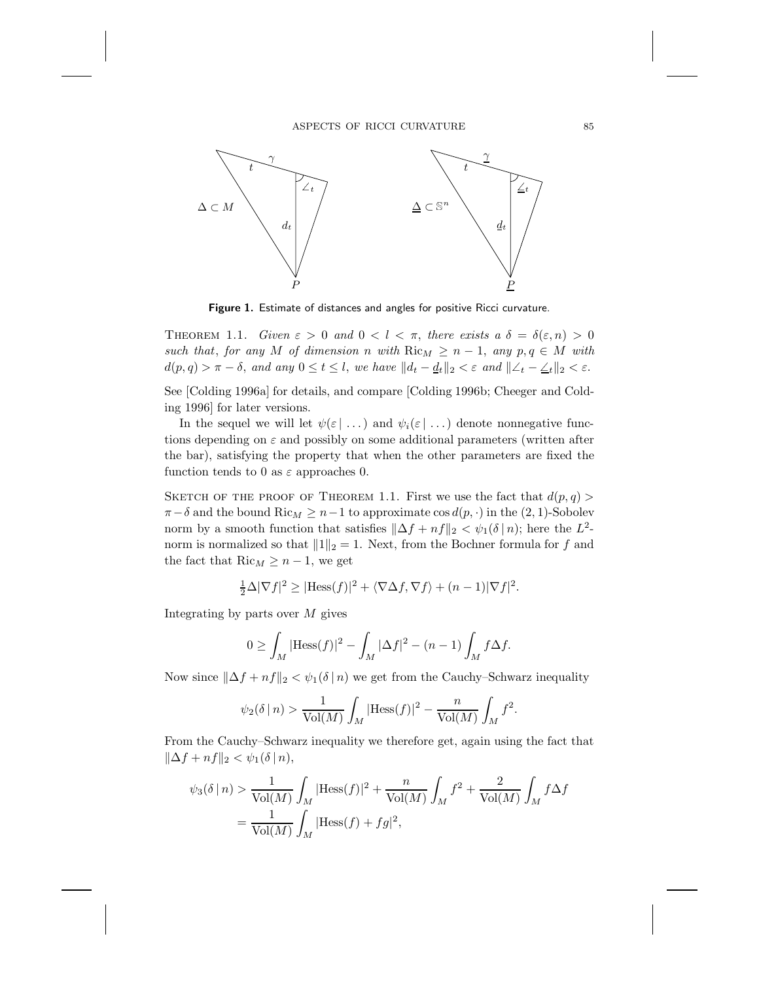## ASPECTS OF RICCI CURVATURE  $\hspace{1.5cm} 85$



**Figure 1.** Estimate of distances and angles for positive Ricci curvature.

THEOREM 1.1. *Given*  $\varepsilon > 0$  and  $0 < l < \pi$ , there exists a  $\delta = \delta(\varepsilon, n) > 0$ *such that, for any* M *of dimension* n *with*  $\text{Ric}_M \geq n - 1$ , *any*  $p, q \in M$  *with*  $d(p, q) > \pi - \delta$ , and any  $0 \le t \le l$ , we have  $||d_t - \underline{d}_t||_2 < \varepsilon$  and  $||\angle_t - \underline{\angle_t}||_2 < \varepsilon$ .

See [Colding 1996a] for details, and compare [Colding 1996b; Cheeger and Colding 1996] for later versions.

In the sequel we will let  $\psi(\varepsilon | ...)$  and  $\psi_i(\varepsilon | ...)$  denote nonnegative functions depending on  $\varepsilon$  and possibly on some additional parameters (written after the bar), satisfying the property that when the other parameters are fixed the function tends to 0 as  $\varepsilon$  approaches 0.

SKETCH OF THE PROOF OF THEOREM 1.1. First we use the fact that  $d(p, q)$  $\pi-\delta$  and the bound Ric<sub>M</sub>  $\geq n-1$  to approximate cos  $d(p, \cdot)$  in the  $(2, 1)$ -Sobolev norm by a smooth function that satisfies  $\|\Delta f + nf\|_2 < \psi_1(\delta | n)$ ; here the L<sup>2</sup>norm is normalized so that  $||1||_2 = 1$ . Next, from the Bochner formula for f and the fact that  $\text{Ric}_M \geq n-1$ , we get

$$
\frac{1}{2}\Delta|\nabla f|^2 \geq |\text{Hess}(f)|^2 + \langle \nabla \Delta f, \nabla f \rangle + (n-1)|\nabla f|^2.
$$

Integrating by parts over  $M$  gives

$$
0 \ge \int_M |\mathrm{Hess}(f)|^2 - \int_M |\Delta f|^2 - (n-1) \int_M f \Delta f.
$$

Now since  $\|\Delta f + nf \|_2 < \psi_1(\delta \mid n)$  we get from the Cauchy–Schwarz inequality

$$
\psi_2(\delta \mid n) > \frac{1}{\text{Vol}(M)} \int_M |\text{Hess}(f)|^2 - \frac{n}{\text{Vol}(M)} \int_M f^2.
$$

From the Cauchy–Schwarz inequality we therefore get, again using the fact that  $\|\Delta f + n f\|_2 < \psi_1(\delta \,|\, n),$ 

$$
\psi_3(\delta \mid n) > \frac{1}{\text{Vol}(M)} \int_M |\text{Hess}(f)|^2 + \frac{n}{\text{Vol}(M)} \int_M f^2 + \frac{2}{\text{Vol}(M)} \int_M f \Delta f
$$
  
= 
$$
\frac{1}{\text{Vol}(M)} \int_M |\text{Hess}(f) + fg|^2,
$$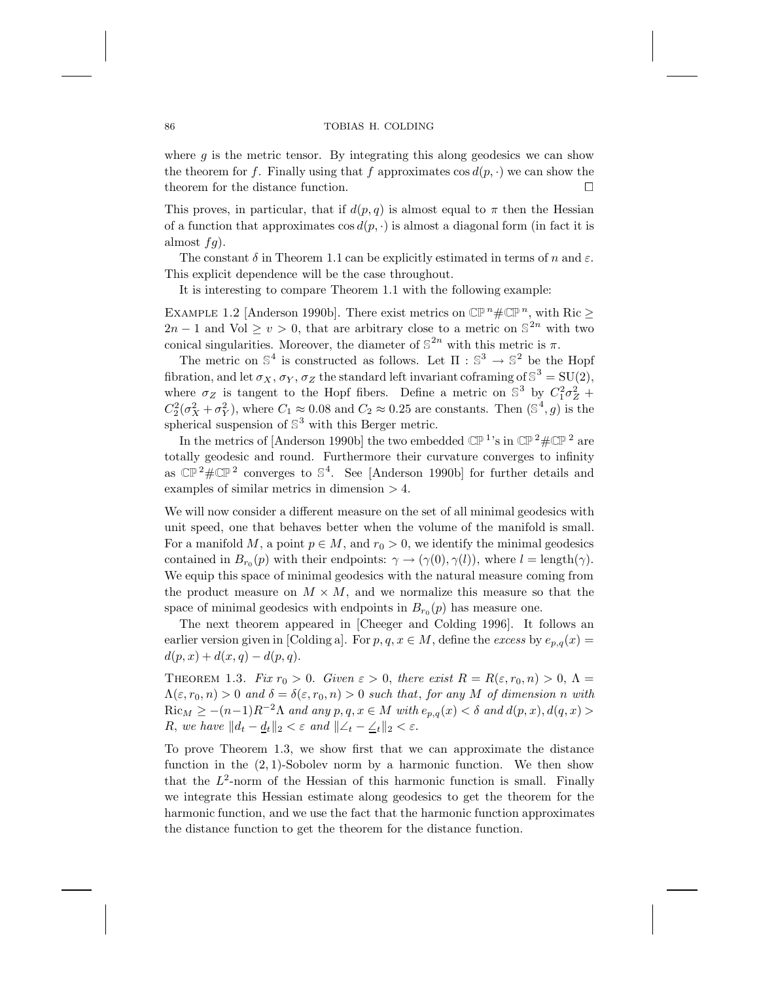where  $g$  is the metric tensor. By integrating this along geodesics we can show the theorem for f. Finally using that f approximates  $\cos d(p, \cdot)$  we can show the theorem for the distance function. theorem for the distance function.

This proves, in particular, that if  $d(p, q)$  is almost equal to  $\pi$  then the Hessian of a function that approximates  $\cos d(p, \cdot)$  is almost a diagonal form (in fact it is almost  $fg$ ).

The constant  $\delta$  in Theorem 1.1 can be explicitly estimated in terms of n and  $\varepsilon$ . This explicit dependence will be the case throughout.

It is interesting to compare Theorem 1.1 with the following example:

EXAMPLE 1.2 [Anderson 1990b]. There exist metrics on  $\mathbb{CP}^n\#\mathbb{CP}^n$ , with Ric  $\geq$  $2n-1$  and Vol  $\geq v > 0$ , that are arbitrary close to a metric on  $\mathbb{S}^{2n}$  with two conical singularities. Moreover, the diameter of  $\mathbb{S}^{2n}$  with this metric is  $\pi$ .

The metric on  $\mathbb{S}^4$  is constructed as follows. Let  $\Pi : \mathbb{S}^3 \to \mathbb{S}^2$  be the Hopf fibration, and let  $\sigma_X$ ,  $\sigma_Y$ ,  $\sigma_Z$  the standard left invariant coframing of  $\mathbb{S}^3 = SU(2)$ , where  $\sigma_Z$  is tangent to the Hopf fibers. Define a metric on  $\mathbb{S}^3$  by  $C_1^2 \sigma_Z^2$  +  $C_2^2(\sigma_X^2+\sigma_Y^2)$ , where  $C_1 \approx 0.08$  and  $C_2 \approx 0.25$  are constants. Then  $(\mathbb{S}^4,g)$  is the spherical suspension of  $\mathbb{S}^3$  with this Berger metric.

In the metrics of [Anderson 1990b] the two embedded  $\mathbb{CP}^{1}$ 's in  $\mathbb{CP}^{2} \# \mathbb{CP}^{2}$  are totally geodesic and round. Furthermore their curvature converges to infinity as  $\mathbb{CP}^2 \# \mathbb{CP}^2$  converges to  $\mathbb{S}^4$ . See [Anderson 1990b] for further details and examples of similar metrics in dimension > 4.

We will now consider a different measure on the set of all minimal geodesics with unit speed, one that behaves better when the volume of the manifold is small. For a manifold M, a point  $p \in M$ , and  $r_0 > 0$ , we identify the minimal geodesics contained in  $B_{r_0}(p)$  with their endpoints:  $\gamma \to (\gamma(0), \gamma(l))$ , where  $l = \text{length}(\gamma)$ . We equip this space of minimal geodesics with the natural measure coming from the product measure on  $M \times M$ , and we normalize this measure so that the space of minimal geodesics with endpoints in  $B_{r_0}(p)$  has measure one.

The next theorem appeared in [Cheeger and Colding 1996]. It follows an earlier version given in [Colding a]. For  $p, q, x \in M$ , define the *excess* by  $e_{p,q}(x) =$  $d(p, x) + d(x, q) - d(p, q).$ 

THEOREM 1.3. *Fix*  $r_0 > 0$ . *Given*  $\varepsilon > 0$ , *there exist*  $R = R(\varepsilon, r_0, n) > 0$ ,  $\Lambda =$  $\Lambda(\varepsilon, r_0, n) > 0$  and  $\delta = \delta(\varepsilon, r_0, n) > 0$  such that, for any M of dimension n with  $\text{Ric}_M \ge -(n-1)R^{-2}\Lambda$  *and any*  $p, q, x \in M$  *with*  $e_{p,q}(x) < \delta$  *and*  $d(p, x), d(q, x) >$ R, we have  $||d_t - \underline{d}_t||_2 < \varepsilon$  and  $||\angle_t - \angle_t||_2 < \varepsilon$ .

To prove Theorem 1.3, we show first that we can approximate the distance function in the  $(2, 1)$ -Sobolev norm by a harmonic function. We then show that the  $L^2$ -norm of the Hessian of this harmonic function is small. Finally we integrate this Hessian estimate along geodesics to get the theorem for the harmonic function, and we use the fact that the harmonic function approximates the distance function to get the theorem for the distance function.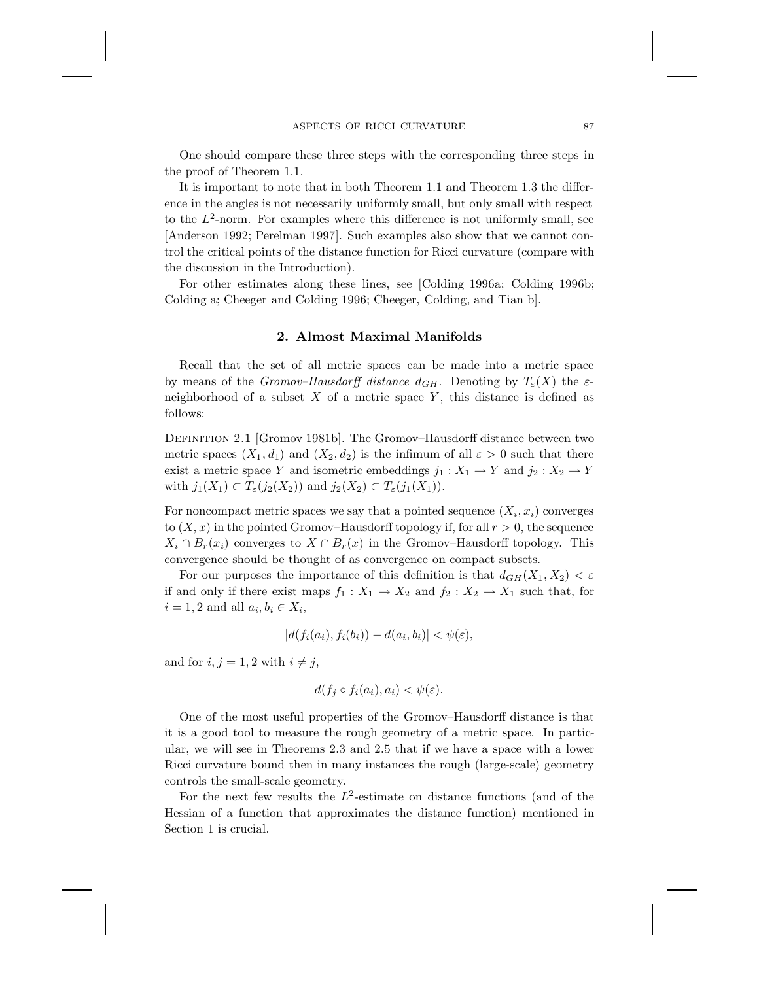One should compare these three steps with the corresponding three steps in the proof of Theorem 1.1.

It is important to note that in both Theorem 1.1 and Theorem 1.3 the difference in the angles is not necessarily uniformly small, but only small with respect to the  $L^2$ -norm. For examples where this difference is not uniformly small, see [Anderson 1992; Perelman 1997]. Such examples also show that we cannot control the critical points of the distance function for Ricci curvature (compare with the discussion in the Introduction).

For other estimates along these lines, see [Colding 1996a; Colding 1996b; Colding a; Cheeger and Colding 1996; Cheeger, Colding, and Tian b].

## **2. Almost Maximal Manifolds**

Recall that the set of all metric spaces can be made into a metric space by means of the *Gromov–Hausdorff distance*  $d_{GH}$ . Denoting by  $T_{\varepsilon}(X)$  the  $\varepsilon$ neighborhood of a subset  $X$  of a metric space  $Y$ , this distance is defined as follows:

Definition 2.1 [Gromov 1981b]. The Gromov–Hausdorff distance between two metric spaces  $(X_1, d_1)$  and  $(X_2, d_2)$  is the infimum of all  $\varepsilon > 0$  such that there exist a metric space Y and isometric embeddings  $j_1 : X_1 \to Y$  and  $j_2 : X_2 \to Y$ with  $j_1(X_1) \subset T_{\varepsilon}(j_2(X_2))$  and  $j_2(X_2) \subset T_{\varepsilon}(j_1(X_1))$ .

For noncompact metric spaces we say that a pointed sequence  $(X_i, x_i)$  converges to  $(X, x)$  in the pointed Gromov–Hausdorff topology if, for all  $r > 0$ , the sequence  $X_i \cap B_r(x_i)$  converges to  $X \cap B_r(x)$  in the Gromov–Hausdorff topology. This convergence should be thought of as convergence on compact subsets.

For our purposes the importance of this definition is that  $d_{GH}(X_1, X_2) < \varepsilon$ if and only if there exist maps  $f_1 : X_1 \to X_2$  and  $f_2 : X_2 \to X_1$  such that, for  $i = 1, 2$  and all  $a_i, b_i \in X_i$ ,

$$
|d(f_i(a_i), f_i(b_i)) - d(a_i, b_i)| < \psi(\varepsilon),
$$

and for  $i, j = 1, 2$  with  $i \neq j$ ,

$$
d(f_j \circ f_i(a_i), a_i) < \psi(\varepsilon).
$$

One of the most useful properties of the Gromov–Hausdorff distance is that it is a good tool to measure the rough geometry of a metric space. In particular, we will see in Theorems 2.3 and 2.5 that if we have a space with a lower Ricci curvature bound then in many instances the rough (large-scale) geometry controls the small-scale geometry.

For the next few results the  $L^2$ -estimate on distance functions (and of the Hessian of a function that approximates the distance function) mentioned in Section 1 is crucial.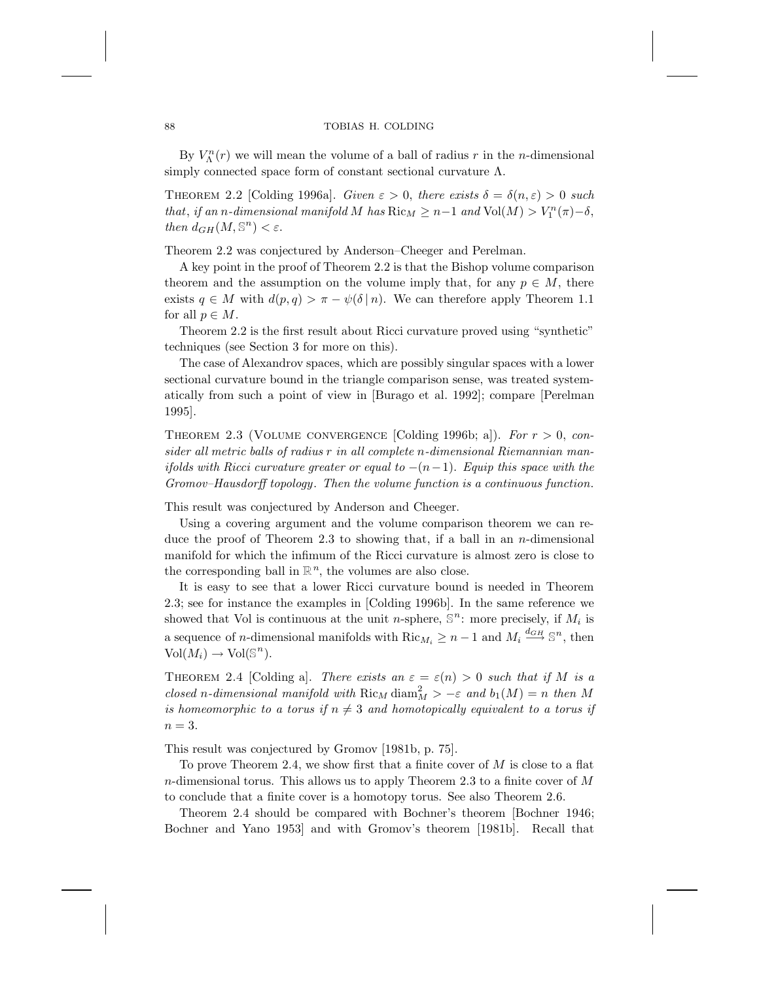By  $V_{\Lambda}^n(r)$  we will mean the volume of a ball of radius r in the n-dimensional simply connected space form of constant sectional curvature  $\Lambda$ .

THEOREM 2.2 [Colding 1996a]. *Given*  $\varepsilon > 0$ , *there exists*  $\delta = \delta(n, \varepsilon) > 0$  *such that, if an n*-dimensional manifold M has  $Ric_M \geq n-1$  and  $Vol(M) > V_1^n(\pi) - \delta$ , *then*  $d_{GH}(M, \mathbb{S}^n) < \varepsilon$ .

Theorem 2.2 was conjectured by Anderson–Cheeger and Perelman.

A key point in the proof of Theorem 2.2 is that the Bishop volume comparison theorem and the assumption on the volume imply that, for any  $p \in M$ , there exists  $q \in M$  with  $d(p,q) > \pi - \psi(\delta | n)$ . We can therefore apply Theorem 1.1 for all  $p \in M$ .

Theorem 2.2 is the first result about Ricci curvature proved using "synthetic" techniques (see Section 3 for more on this).

The case of Alexandrov spaces, which are possibly singular spaces with a lower sectional curvature bound in the triangle comparison sense, was treated systematically from such a point of view in [Burago et al. 1992]; compare [Perelman 1995].

Theorem 2.3 (Volume convergence [Colding 1996b; a]). *For* r > 0, *consider all metric balls of radius* r *in all complete* n*-dimensional Riemannian manifolds with Ricci curvature greater or equal to* −(n−1). *Equip this space with the Gromov–Hausdorff topology*. *Then the volume function is a continuous function*.

This result was conjectured by Anderson and Cheeger.

Using a covering argument and the volume comparison theorem we can reduce the proof of Theorem 2.3 to showing that, if a ball in an  $n$ -dimensional manifold for which the infimum of the Ricci curvature is almost zero is close to the corresponding ball in  $\mathbb{R}^n$ , the volumes are also close.

It is easy to see that a lower Ricci curvature bound is needed in Theorem 2.3; see for instance the examples in [Colding 1996b]. In the same reference we showed that Vol is continuous at the unit n-sphere,  $\mathbb{S}^n$ : more precisely, if  $M_i$  is a sequence of *n*-dimensional manifolds with  $\text{Ric}_{M_i} \geq n-1$  and  $M_i \stackrel{d_{GH}}{\longrightarrow} \mathbb{S}^n$ , then  $Vol(M_i) \to Vol(\mathbb{S}^n)$ .

THEOREM 2.4 [Colding a]. *There exists an*  $\varepsilon = \varepsilon(n) > 0$  *such that if* M *is a closed* n-dimensional manifold with  $\text{Ric}_M$  diam $^2_M$  >  $-\varepsilon$  and  $b_1(M) = n$  then M *is homeomorphic to a torus if*  $n \neq 3$  *and homotopically equivalent to a torus if*  $n=3$ .

This result was conjectured by Gromov [1981b, p. 75].

To prove Theorem 2.4, we show first that a finite cover of  $M$  is close to a flat n-dimensional torus. This allows us to apply Theorem 2.3 to a finite cover of  $M$ to conclude that a finite cover is a homotopy torus. See also Theorem 2.6.

Theorem 2.4 should be compared with Bochner's theorem [Bochner 1946; Bochner and Yano 1953] and with Gromov's theorem [1981b]. Recall that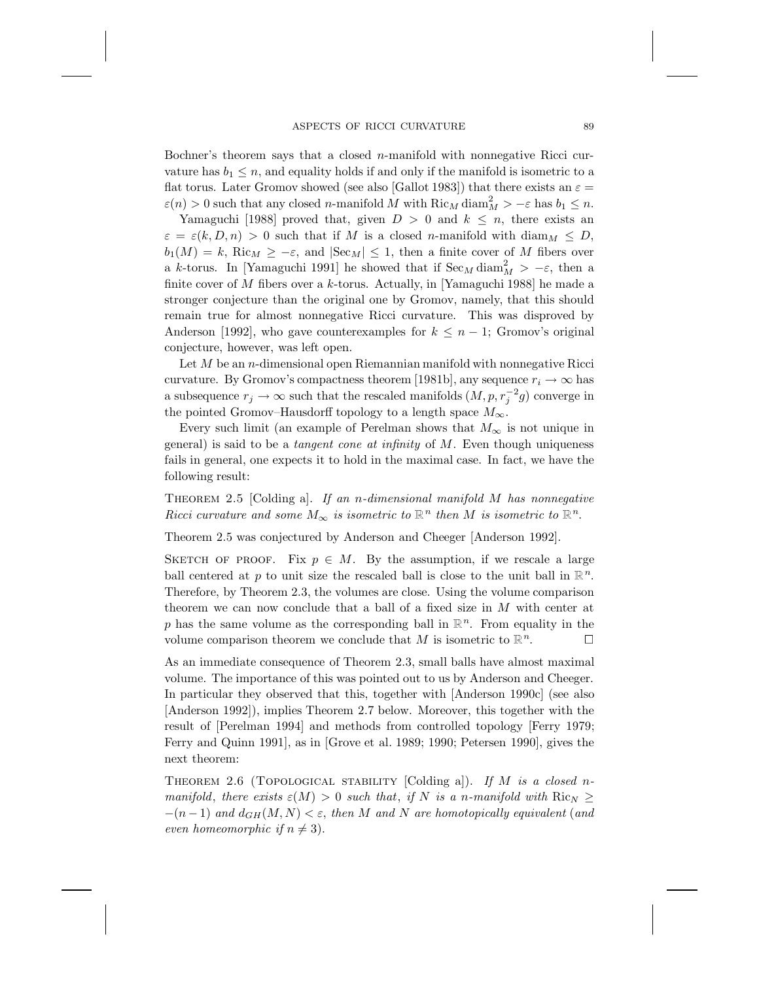Bochner's theorem says that a closed n-manifold with nonnegative Ricci curvature has  $b_1 \leq n$ , and equality holds if and only if the manifold is isometric to a flat torus. Later Gromov showed (see also [Gallot 1983]) that there exists an  $\varepsilon =$  $\varepsilon(n) > 0$  such that any closed *n*-manifold M with  $\text{Ric}_M \text{diam}_M^2 > -\varepsilon$  has  $b_1 \leq n$ .

Yamaguchi [1988] proved that, given  $D > 0$  and  $k \leq n$ , there exists an  $\varepsilon = \varepsilon(k, D, n) > 0$  such that if M is a closed n-manifold with diam<sub>M</sub>  $\leq D$ ,  $b_1(M) = k$ , Ric<sub>M</sub>  $\geq -\varepsilon$ , and  $|\text{Sec}_M| \leq 1$ , then a finite cover of M fibers over a k-torus. In [Yamaguchi 1991] he showed that if  $\text{Sec}_M \text{diam}_M^2 > -\varepsilon$ , then a finite cover of  $M$  fibers over a  $k$ -torus. Actually, in [Yamaguchi 1988] he made a stronger conjecture than the original one by Gromov, namely, that this should remain true for almost nonnegative Ricci curvature. This was disproved by Anderson [1992], who gave counterexamples for  $k \leq n-1$ ; Gromov's original conjecture, however, was left open.

Let  $M$  be an n-dimensional open Riemannian manifold with nonnegative Ricci curvature. By Gromov's compactness theorem [1981b], any sequence  $r_i \to \infty$  has a subsequence  $r_j \to \infty$  such that the rescaled manifolds  $(M, p, r_j^{-2}g)$  converge in the pointed Gromov–Hausdorff topology to a length space  $M_{\infty}$ .

Every such limit (an example of Perelman shows that  $M_{\infty}$  is not unique in general) is said to be a *tangent cone at infinity* of M. Even though uniqueness fails in general, one expects it to hold in the maximal case. In fact, we have the following result:

Theorem 2.5 [Colding a]. *If an* n*-dimensional manifold* M *has nonnegative Ricci curvature and some*  $M_{\infty}$  *is isometric to*  $\mathbb{R}^n$  *then M is isometric to*  $\mathbb{R}^n$ *.* 

Theorem 2.5 was conjectured by Anderson and Cheeger [Anderson 1992].

SKETCH OF PROOF. Fix  $p \in M$ . By the assumption, if we rescale a large ball centered at p to unit size the rescaled ball is close to the unit ball in  $\mathbb{R}^n$ . Therefore, by Theorem 2.3, the volumes are close. Using the volume comparison theorem we can now conclude that a ball of a fixed size in M with center at p has the same volume as the corresponding ball in  $\mathbb{R}^n$ . From equality in the volume comparison theorem we conclude that M is isometric to  $\mathbb{R}^n$ .

As an immediate consequence of Theorem 2.3, small balls have almost maximal volume. The importance of this was pointed out to us by Anderson and Cheeger. In particular they observed that this, together with [Anderson 1990c] (see also [Anderson 1992]), implies Theorem 2.7 below. Moreover, this together with the result of [Perelman 1994] and methods from controlled topology [Ferry 1979; Ferry and Quinn 1991], as in [Grove et al. 1989; 1990; Petersen 1990], gives the next theorem:

Theorem 2.6 (Topological stability [Colding a]). *If* M *is a closed* n*manifold*, *there exists*  $\varepsilon(M) > 0$  *such that*, *if* N *is a n-manifold with*  $Ric_N \geq$  $-(n-1)$  *and*  $d_{GH}(M, N) < \varepsilon$ , *then* M *and* N are homotopically equivalent (and *even homeomorphic if*  $n \neq 3$ .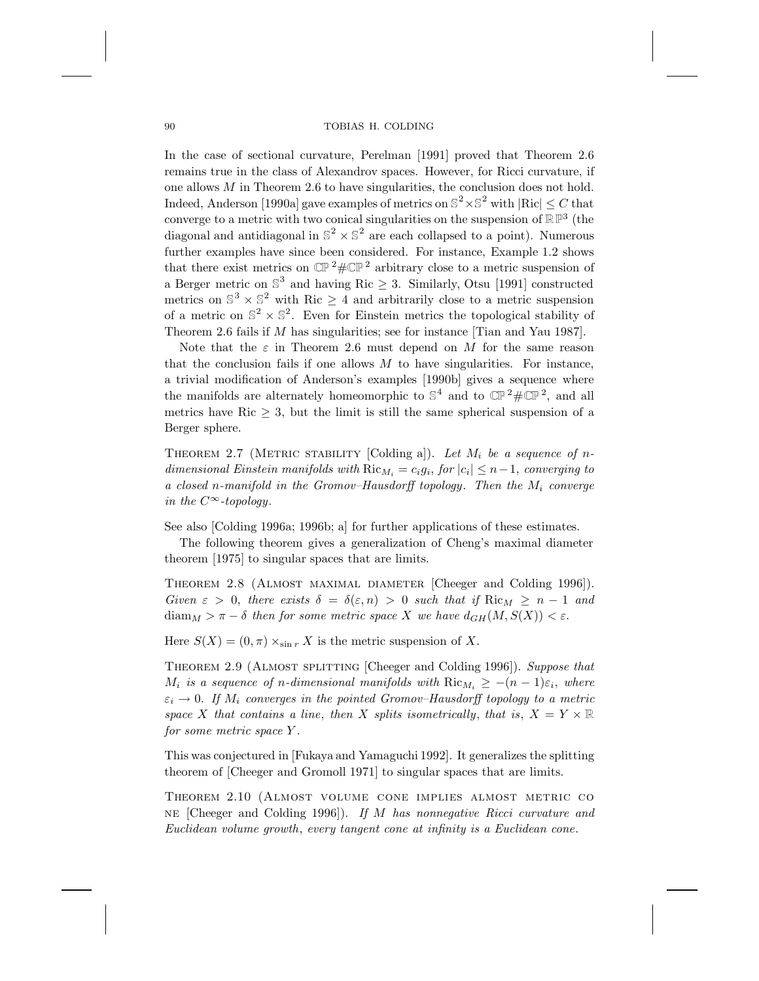In the case of sectional curvature, Perelman [1991] proved that Theorem 2.6 remains true in the class of Alexandrov spaces. However, for Ricci curvature, if one allows  $M$  in Theorem 2.6 to have singularities, the conclusion does not hold. Indeed, Anderson [1990a] gave examples of metrics on  $\mathbb{S}^2 \times \mathbb{S}^2$  with  $|Ric| \leq C$  that converge to a metric with two conical singularities on the suspension of  $\mathbb{RP}^3$  (the diagonal and antidiagonal in  $\mathbb{S}^2 \times \mathbb{S}^2$  are each collapsed to a point). Numerous further examples have since been considered. For instance, Example 1.2 shows that there exist metrics on  $\mathbb{CP}^2 \# \mathbb{CP}^2$  arbitrary close to a metric suspension of a Berger metric on  $\mathbb{S}^3$  and having Ric  $\geq$  3. Similarly, Otsu [1991] constructed metrics on  $\mathbb{S}^3 \times \mathbb{S}^2$  with Ric  $\geq 4$  and arbitrarily close to a metric suspension of a metric on  $\mathbb{S}^2 \times \mathbb{S}^2$ . Even for Einstein metrics the topological stability of Theorem 2.6 fails if M has singularities; see for instance [Tian and Yau 1987].

Note that the  $\varepsilon$  in Theorem 2.6 must depend on M for the same reason that the conclusion fails if one allows  $M$  to have singularities. For instance, a trivial modification of Anderson's examples [1990b] gives a sequence where the manifolds are alternately homeomorphic to  $\mathbb{S}^4$  and to  $\mathbb{CP}^2 \# \mathbb{CP}^2$ , and all metrics have  $\text{Ric} > 3$ , but the limit is still the same spherical suspension of a Berger sphere.

THEOREM 2.7 (METRIC STABILITY [Colding a]). Let  $M_i$  be a sequence of n*dimensional Einstein manifolds with*  $Ric_{M_i} = c_i g_i$ , *for*  $|c_i| \leq n-1$ , *converging to a closed* n*-manifold in the Gromov–Hausdorff topology*. *Then the* M<sup>i</sup> *converge in the*  $C^{\infty}$ *-topology*.

See also [Colding 1996a; 1996b; a] for further applications of these estimates.

The following theorem gives a generalization of Cheng's maximal diameter theorem [1975] to singular spaces that are limits.

Theorem 2.8 (Almost maximal diameter [Cheeger and Colding 1996]). *Given*  $\varepsilon > 0$ , *there exists*  $\delta = \delta(\varepsilon, n) > 0$  *such that if*  $\text{Ric}_M \geq n - 1$  *and*  $\text{diam}_M > \pi - \delta$  then for some metric space X we have  $d_{GH}(M, S(X)) < \varepsilon$ .

Here  $S(X) = (0, \pi) \times_{\sin r} X$  is the metric suspension of X.

Theorem 2.9 (Almost splitting [Cheeger and Colding 1996]). *Suppose that*  $M_i$  *is a sequence of n-dimensional manifolds with*  $Ric_{M_i} \geq -(n-1)\varepsilon_i$ , where  $\varepsilon_i \to 0$ . If  $M_i$  converges in the pointed Gromov–Hausdorff topology to a metric *space* X that contains a line, then X *splits isometrically*, that is,  $X = Y \times \mathbb{R}$ *for some metric space* Y .

This was conjectured in [Fukaya and Yamaguchi 1992]. It generalizes the splitting theorem of [Cheeger and Gromoll 1971] to singular spaces that are limits.

Theorem 2.10 (Almost volume cone implies almost metric co ne [Cheeger and Colding 1996]). *If* M *has nonnegative Ricci curvature and Euclidean volume growth*, *every tangent cone at infinity is a Euclidean cone*.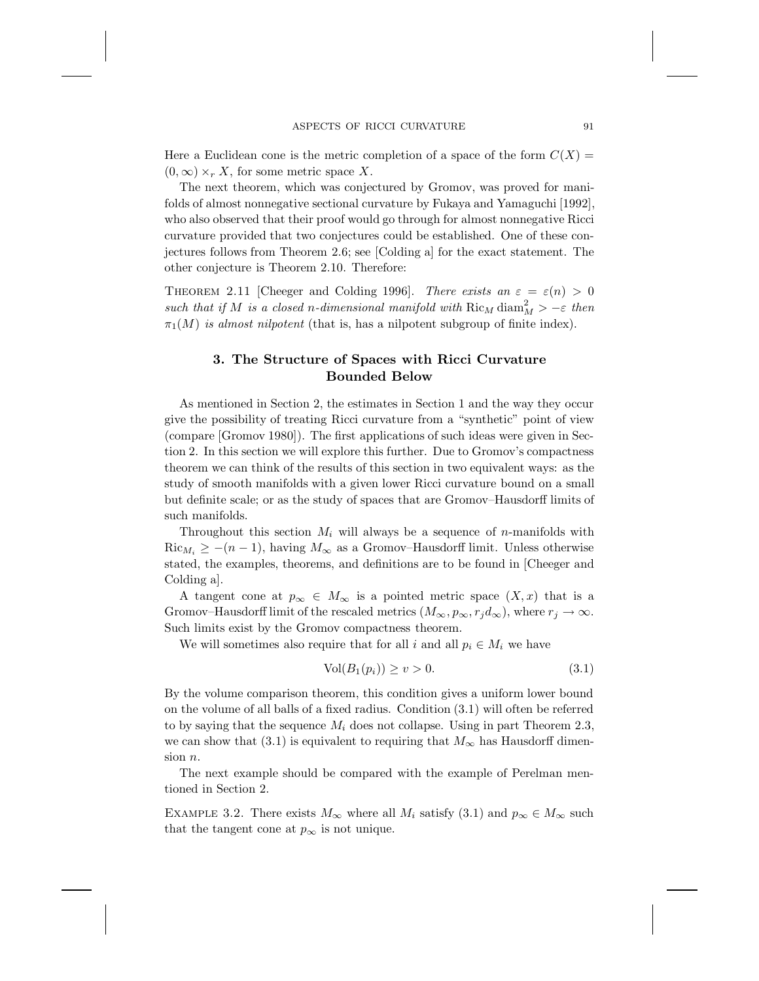Here a Euclidean cone is the metric completion of a space of the form  $C(X) =$  $(0, \infty) \times_{r} X$ , for some metric space X.

The next theorem, which was conjectured by Gromov, was proved for manifolds of almost nonnegative sectional curvature by Fukaya and Yamaguchi [1992], who also observed that their proof would go through for almost nonnegative Ricci curvature provided that two conjectures could be established. One of these conjectures follows from Theorem 2.6; see [Colding a] for the exact statement. The other conjecture is Theorem 2.10. Therefore:

THEOREM 2.11 [Cheeger and Colding 1996]. *There exists an*  $\varepsilon = \varepsilon(n) > 0$  $\mathit{such that if} \ M \ \mathit{is a closed} \ n\text{-dimensional manifold with} \ Ric_M \ diam_M^2 > -\varepsilon \ \mathit{then}$  $\pi_1(M)$  *is almost nilpotent* (that is, has a nilpotent subgroup of finite index).

## **3. The Structure of Spaces with Ricci Curvature Bounded Below**

As mentioned in Section 2, the estimates in Section 1 and the way they occur give the possibility of treating Ricci curvature from a "synthetic" point of view (compare [Gromov 1980]). The first applications of such ideas were given in Section 2. In this section we will explore this further. Due to Gromov's compactness theorem we can think of the results of this section in two equivalent ways: as the study of smooth manifolds with a given lower Ricci curvature bound on a small but definite scale; or as the study of spaces that are Gromov–Hausdorff limits of such manifolds.

Throughout this section  $M_i$  will always be a sequence of *n*-manifolds with  $\text{Ric}_{M_i} \geq -(n-1)$ , having  $M_{\infty}$  as a Gromov–Hausdorff limit. Unless otherwise stated, the examples, theorems, and definitions are to be found in [Cheeger and Colding a].

A tangent cone at  $p_{\infty} \in M_{\infty}$  is a pointed metric space  $(X, x)$  that is a Gromov–Hausdorff limit of the rescaled metrics  $(M_{\infty}, p_{\infty}, r_j d_{\infty})$ , where  $r_j \to \infty$ . Such limits exist by the Gromov compactness theorem.

We will sometimes also require that for all i and all  $p_i \in M_i$  we have

$$
Vol(B_1(p_i)) \ge v > 0. \tag{3.1}
$$

By the volume comparison theorem, this condition gives a uniform lower bound on the volume of all balls of a fixed radius. Condition (3.1) will often be referred to by saying that the sequence  $M_i$  does not collapse. Using in part Theorem 2.3, we can show that (3.1) is equivalent to requiring that  $M_{\infty}$  has Hausdorff dimension n.

The next example should be compared with the example of Perelman mentioned in Section 2.

EXAMPLE 3.2. There exists  $M_{\infty}$  where all  $M_i$  satisfy (3.1) and  $p_{\infty} \in M_{\infty}$  such that the tangent cone at  $p_{\infty}$  is not unique.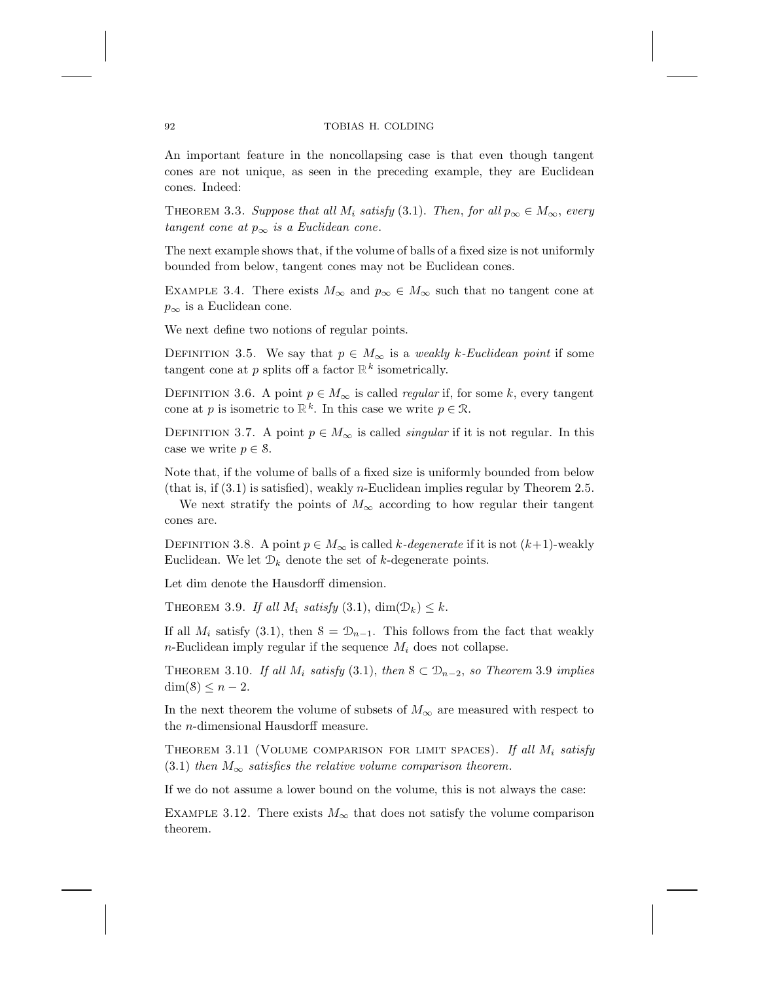An important feature in the noncollapsing case is that even though tangent cones are not unique, as seen in the preceding example, they are Euclidean cones. Indeed:

THEOREM 3.3. *Suppose that all*  $M_i$  *satisfy* (3.1). *Then, for all*  $p_{\infty} \in M_{\infty}$ *, every tangent cone at*  $p_{\infty}$  *is a Euclidean cone.* 

The next example shows that, if the volume of balls of a fixed size is not uniformly bounded from below, tangent cones may not be Euclidean cones.

EXAMPLE 3.4. There exists  $M_{\infty}$  and  $p_{\infty} \in M_{\infty}$  such that no tangent cone at  $p_{\infty}$  is a Euclidean cone.

We next define two notions of regular points.

DEFINITION 3.5. We say that  $p \in M_{\infty}$  is a *weakly k-Euclidean point* if some tangent cone at p splits off a factor  $\mathbb{R}^k$  isometrically.

DEFINITION 3.6. A point  $p \in M_{\infty}$  is called *regular* if, for some k, every tangent cone at p is isometric to  $\mathbb{R}^k$ . In this case we write  $p \in \mathcal{R}$ .

DEFINITION 3.7. A point  $p \in M_{\infty}$  is called *singular* if it is not regular. In this case we write  $p \in \mathcal{S}$ .

Note that, if the volume of balls of a fixed size is uniformly bounded from below (that is, if  $(3.1)$  is satisfied), weakly *n*-Euclidean implies regular by Theorem 2.5.

We next stratify the points of  $M_{\infty}$  according to how regular their tangent cones are.

DEFINITION 3.8. A point  $p \in M_\infty$  is called k-*degenerate* if it is not  $(k+1)$ -weakly Euclidean. We let  $\mathcal{D}_k$  denote the set of k-degenerate points.

Let dim denote the Hausdorff dimension.

THEOREM 3.9. If all  $M_i$  satisfy (3.1), dim( $\mathcal{D}_k$ )  $\leq k$ .

If all  $M_i$  satisfy (3.1), then  $S = \mathcal{D}_{n-1}$ . This follows from the fact that weakly n-Euclidean imply regular if the sequence  $M_i$  does not collapse.

THEOREM 3.10. *If all*  $M_i$  *satisfy* (3.1), *then*  $S \subset \mathcal{D}_{n-2}$ *, so Theorem* 3.9 *implies*  $\dim(\mathcal{S}) \leq n-2$ .

In the next theorem the volume of subsets of  $M_{\infty}$  are measured with respect to the n-dimensional Hausdorff measure.

THEOREM 3.11 (VOLUME COMPARISON FOR LIMIT SPACES). If all  $M_i$  satisfy (3.1) *then*  $M_{\infty}$  *satisfies the relative volume comparison theorem.* 

If we do not assume a lower bound on the volume, this is not always the case:

EXAMPLE 3.12. There exists  $M_{\infty}$  that does not satisfy the volume comparison theorem.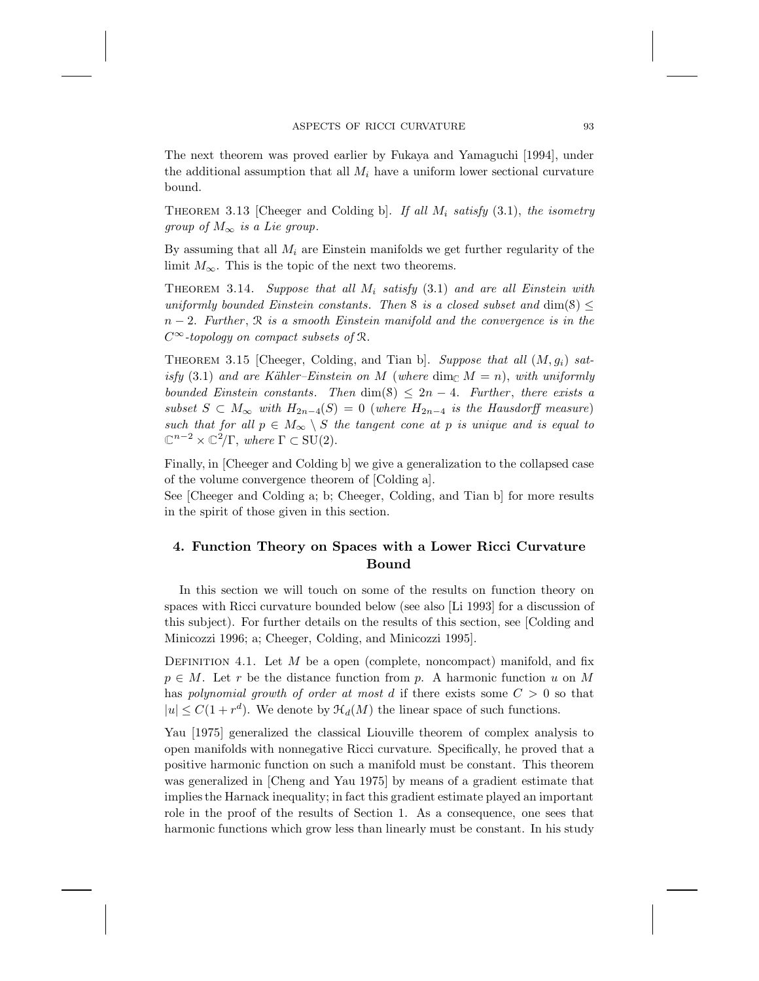The next theorem was proved earlier by Fukaya and Yamaguchi [1994], under the additional assumption that all  $M_i$  have a uniform lower sectional curvature bound.

THEOREM 3.13 [Cheeger and Colding b]. If all  $M_i$  satisfy (3.1), the isometry *group of*  $M_{\infty}$  *is a Lie group.* 

By assuming that all  $M_i$  are Einstein manifolds we get further regularity of the limit  $M_{\infty}$ . This is the topic of the next two theorems.

Theorem 3.14. *Suppose that all* M<sup>i</sup> *satisfy* (3.1) *and are all Einstein with uniformly bounded Einstein constants. Then* S *is a closed subset and* dim(S)  $\leq$ n − 2. *Further* , <sup>R</sup> *is a smooth Einstein manifold and the convergence is in the* C∞*-topology on compact subsets of* <sup>R</sup>.

THEOREM 3.15 [Cheeger, Colding, and Tian b]. Suppose that all  $(M, g_i)$  sat*isfy* (3.1) and are Kähler–Einstein on M (where dim<sub>C</sub>  $M = n$ ), with uniformly *bounded Einstein constants.* Then  $\dim(S) \leq 2n - 4$ . Further, there exists a *subset*  $S \subset M_\infty$  *with*  $H_{2n-4}(S) = 0$  (*where*  $H_{2n-4}$  *is the Hausdorff measure*) *such that for all*  $p \in M_{\infty} \setminus S$  *the tangent cone at* p *is unique and is equal to*  $\mathbb{C}^{n-2} \times \mathbb{C}^2/\Gamma$ , where  $\Gamma \subset \mathrm{SU}(2)$ .

Finally, in [Cheeger and Colding b] we give a generalization to the collapsed case of the volume convergence theorem of [Colding a].

See [Cheeger and Colding a; b; Cheeger, Colding, and Tian b] for more results in the spirit of those given in this section.

## **4. Function Theory on Spaces with a Lower Ricci Curvature Bound**

In this section we will touch on some of the results on function theory on spaces with Ricci curvature bounded below (see also [Li 1993] for a discussion of this subject). For further details on the results of this section, see [Colding and Minicozzi 1996; a; Cheeger, Colding, and Minicozzi 1995].

DEFINITION 4.1. Let M be a open (complete, noncompact) manifold, and fix  $p \in M$ . Let r be the distance function from p. A harmonic function u on M has *polynomial growth of order at most* d if there exists some  $C > 0$  so that  $|u| \leq C(1+r^d)$ . We denote by  $\mathcal{H}_d(M)$  the linear space of such functions.

Yau [1975] generalized the classical Liouville theorem of complex analysis to open manifolds with nonnegative Ricci curvature. Specifically, he proved that a positive harmonic function on such a manifold must be constant. This theorem was generalized in [Cheng and Yau 1975] by means of a gradient estimate that implies the Harnack inequality; in fact this gradient estimate played an important role in the proof of the results of Section 1. As a consequence, one sees that harmonic functions which grow less than linearly must be constant. In his study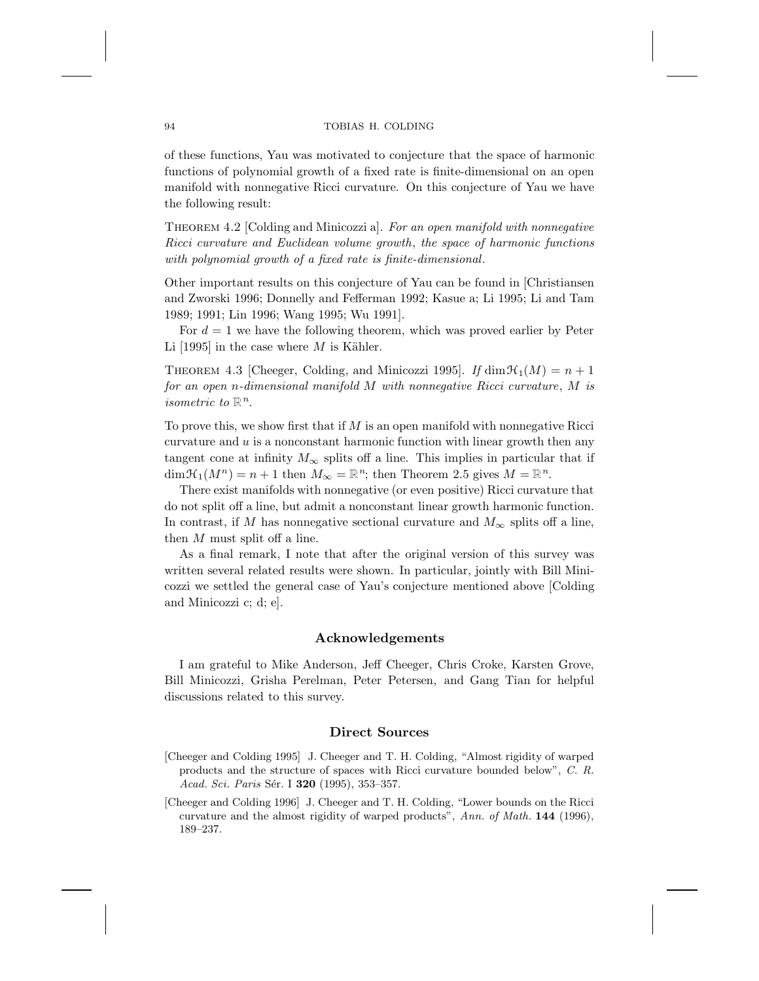of these functions, Yau was motivated to conjecture that the space of harmonic functions of polynomial growth of a fixed rate is finite-dimensional on an open manifold with nonnegative Ricci curvature. On this conjecture of Yau we have the following result:

Theorem 4.2 [Colding and Minicozzi a]. *For an open manifold with nonnegative Ricci curvature and Euclidean volume growth*, *the space of harmonic functions with polynomial growth of a fixed rate is finite-dimensional*.

Other important results on this conjecture of Yau can be found in [Christiansen and Zworski 1996; Donnelly and Fefferman 1992; Kasue a; Li 1995; Li and Tam 1989; 1991; Lin 1996; Wang 1995; Wu 1991].

For  $d = 1$  we have the following theorem, which was proved earlier by Peter Li [1995] in the case where  $M$  is Kähler.

THEOREM 4.3 [Cheeger, Colding, and Minicozzi 1995]. *If* dim  $\mathcal{H}_1(M) = n + 1$ *for an open* n*-dimensional manifold* M *with nonnegative Ricci curvature*, M *is isometric to*  $\mathbb{R}^n$ .

To prove this, we show first that if  $M$  is an open manifold with nonnegative Ricci curvature and  $u$  is a nonconstant harmonic function with linear growth then any tangent cone at infinity  $M_{\infty}$  splits off a line. This implies in particular that if  $\dim \mathfrak{H}_1(M^n) = n+1$  then  $M_\infty = \mathbb{R}^n$ ; then Theorem 2.5 gives  $M = \mathbb{R}^n$ .

There exist manifolds with nonnegative (or even positive) Ricci curvature that do not split off a line, but admit a nonconstant linear growth harmonic function. In contrast, if M has nonnegative sectional curvature and  $M_{\infty}$  splits off a line, then M must split off a line.

As a final remark, I note that after the original version of this survey was written several related results were shown. In particular, jointly with Bill Minicozzi we settled the general case of Yau's conjecture mentioned above [Colding and Minicozzi c; d; e].

## **Acknowledgements**

I am grateful to Mike Anderson, Jeff Cheeger, Chris Croke, Karsten Grove, Bill Minicozzi, Grisha Perelman, Peter Petersen, and Gang Tian for helpful discussions related to this survey.

## **Direct Sources**

- [Cheeger and Colding 1995] J. Cheeger and T. H. Colding, "Almost rigidity of warped products and the structure of spaces with Ricci curvature bounded below", C. R. Acad. Sci. Paris Sér. I **320** (1995), 353-357.
- [Cheeger and Colding 1996] J. Cheeger and T. H. Colding, "Lower bounds on the Ricci curvature and the almost rigidity of warped products", Ann. of Math. **144** (1996), 189–237.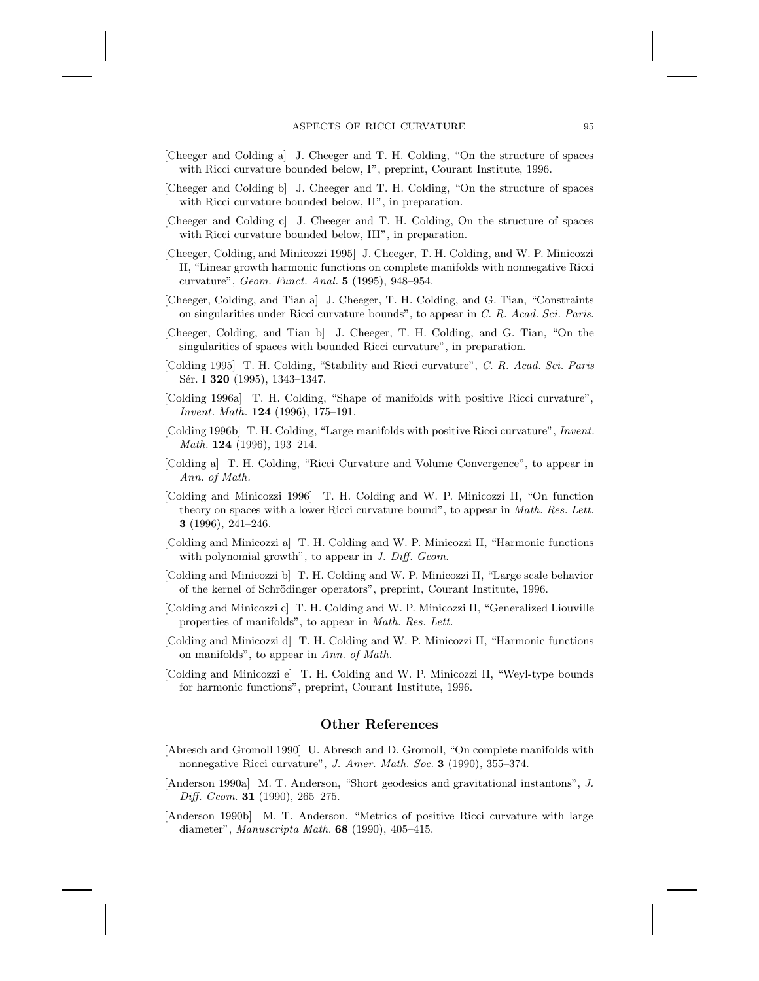- [Cheeger and Colding a] J. Cheeger and T. H. Colding, "On the structure of spaces with Ricci curvature bounded below, I", preprint, Courant Institute, 1996.
- [Cheeger and Colding b] J. Cheeger and T. H. Colding, "On the structure of spaces with Ricci curvature bounded below, II", in preparation.
- [Cheeger and Colding c] J. Cheeger and T. H. Colding, On the structure of spaces with Ricci curvature bounded below, III", in preparation.
- [Cheeger, Colding, and Minicozzi 1995] J. Cheeger, T. H. Colding, and W. P. Minicozzi II, "Linear growth harmonic functions on complete manifolds with nonnegative Ricci curvature", Geom. Funct. Anal. **5** (1995), 948–954.
- [Cheeger, Colding, and Tian a] J. Cheeger, T. H. Colding, and G. Tian, "Constraints on singularities under Ricci curvature bounds", to appear in C. R. Acad. Sci. Paris.
- [Cheeger, Colding, and Tian b] J. Cheeger, T. H. Colding, and G. Tian, "On the singularities of spaces with bounded Ricci curvature", in preparation.
- [Colding 1995] T. H. Colding, "Stability and Ricci curvature", C. R. Acad. Sci. Paris Sér. I **320** (1995), 1343-1347.
- [Colding 1996a] T. H. Colding, "Shape of manifolds with positive Ricci curvature", Invent. Math. **124** (1996), 175–191.
- [Colding 1996b] T. H. Colding, "Large manifolds with positive Ricci curvature", Invent. Math. **124** (1996), 193–214.
- [Colding a] T. H. Colding, "Ricci Curvature and Volume Convergence", to appear in Ann. of Math.
- [Colding and Minicozzi 1996] T. H. Colding and W. P. Minicozzi II, "On function theory on spaces with a lower Ricci curvature bound", to appear in Math. Res. Lett. **3** (1996), 241–246.
- [Colding and Minicozzi a] T. H. Colding and W. P. Minicozzi II, "Harmonic functions with polynomial growth", to appear in J. Diff. Geom.
- [Colding and Minicozzi b] T. H. Colding and W. P. Minicozzi II, "Large scale behavior of the kernel of Schrödinger operators", preprint, Courant Institute, 1996.
- [Colding and Minicozzi c] T. H. Colding and W. P. Minicozzi II, "Generalized Liouville properties of manifolds", to appear in Math. Res. Lett.
- [Colding and Minicozzi d] T. H. Colding and W. P. Minicozzi II, "Harmonic functions on manifolds", to appear in Ann. of Math.
- [Colding and Minicozzi e] T. H. Colding and W. P. Minicozzi II, "Weyl-type bounds for harmonic functions", preprint, Courant Institute, 1996.

## **Other References**

- [Abresch and Gromoll 1990] U. Abresch and D. Gromoll, "On complete manifolds with nonnegative Ricci curvature", J. Amer. Math. Soc. **3** (1990), 355–374.
- [Anderson 1990a] M. T. Anderson, "Short geodesics and gravitational instantons", J. Diff. Geom. **31** (1990), 265–275.
- [Anderson 1990b] M. T. Anderson, "Metrics of positive Ricci curvature with large diameter", Manuscripta Math. **68** (1990), 405–415.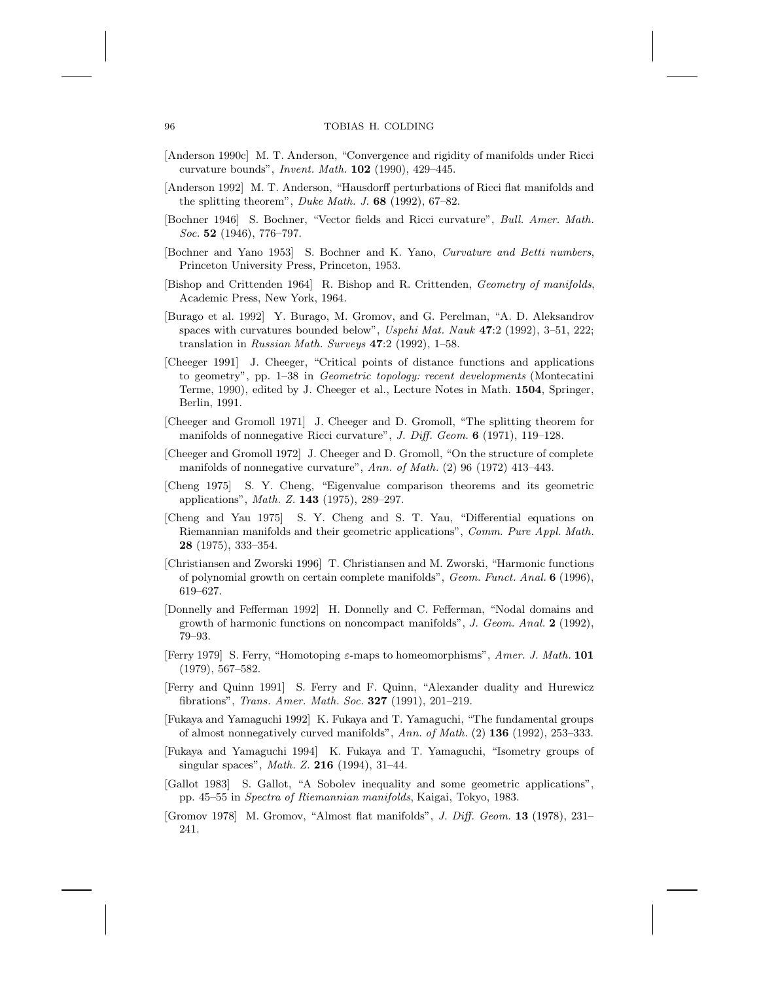- [Anderson 1990c] M. T. Anderson, "Convergence and rigidity of manifolds under Ricci curvature bounds", Invent. Math. **102** (1990), 429–445.
- [Anderson 1992] M. T. Anderson, "Hausdorff perturbations of Ricci flat manifolds and the splitting theorem", Duke Math. J. **68** (1992), 67–82.
- [Bochner 1946] S. Bochner, "Vector fields and Ricci curvature", Bull. Amer. Math. Soc. **52** (1946), 776–797.
- [Bochner and Yano 1953] S. Bochner and K. Yano, Curvature and Betti numbers, Princeton University Press, Princeton, 1953.
- [Bishop and Crittenden 1964] R. Bishop and R. Crittenden, Geometry of manifolds, Academic Press, New York, 1964.
- [Burago et al. 1992] Y. Burago, M. Gromov, and G. Perelman, "A. D. Aleksandrov spaces with curvatures bounded below", Uspehi Mat. Nauk **47**:2 (1992), 3–51, 222; translation in Russian Math. Surveys **47**:2 (1992), 1–58.
- [Cheeger 1991] J. Cheeger, "Critical points of distance functions and applications to geometry", pp. 1–38 in Geometric topology: recent developments (Montecatini Terme, 1990), edited by J. Cheeger et al., Lecture Notes in Math. **1504**, Springer, Berlin, 1991.
- [Cheeger and Gromoll 1971] J. Cheeger and D. Gromoll, "The splitting theorem for manifolds of nonnegative Ricci curvature", J. Diff. Geom. **6** (1971), 119–128.
- [Cheeger and Gromoll 1972] J. Cheeger and D. Gromoll, "On the structure of complete manifolds of nonnegative curvature", Ann. of Math. (2) 96 (1972) 413–443.
- [Cheng 1975] S. Y. Cheng, "Eigenvalue comparison theorems and its geometric applications", Math. Z. **143** (1975), 289–297.
- [Cheng and Yau 1975] S. Y. Cheng and S. T. Yau, "Differential equations on Riemannian manifolds and their geometric applications", Comm. Pure Appl. Math. **28** (1975), 333–354.
- [Christiansen and Zworski 1996] T. Christiansen and M. Zworski, "Harmonic functions of polynomial growth on certain complete manifolds", Geom. Funct. Anal. **6** (1996), 619–627.
- [Donnelly and Fefferman 1992] H. Donnelly and C. Fefferman, "Nodal domains and growth of harmonic functions on noncompact manifolds", J. Geom. Anal. **2** (1992), 79–93.
- [Ferry 1979] S. Ferry, "Homotoping ε-maps to homeomorphisms", Amer. J. Math. **101** (1979), 567–582.
- [Ferry and Quinn 1991] S. Ferry and F. Quinn, "Alexander duality and Hurewicz fibrations", Trans. Amer. Math. Soc. **327** (1991), 201–219.
- [Fukaya and Yamaguchi 1992] K. Fukaya and T. Yamaguchi, "The fundamental groups of almost nonnegatively curved manifolds", Ann. of Math. (2) **136** (1992), 253–333.
- [Fukaya and Yamaguchi 1994] K. Fukaya and T. Yamaguchi, "Isometry groups of singular spaces", Math. Z. **216** (1994), 31–44.
- [Gallot 1983] S. Gallot, "A Sobolev inequality and some geometric applications", pp. 45–55 in Spectra of Riemannian manifolds, Kaigai, Tokyo, 1983.
- [Gromov 1978] M. Gromov, "Almost flat manifolds", J. Diff. Geom. **13** (1978), 231– 241.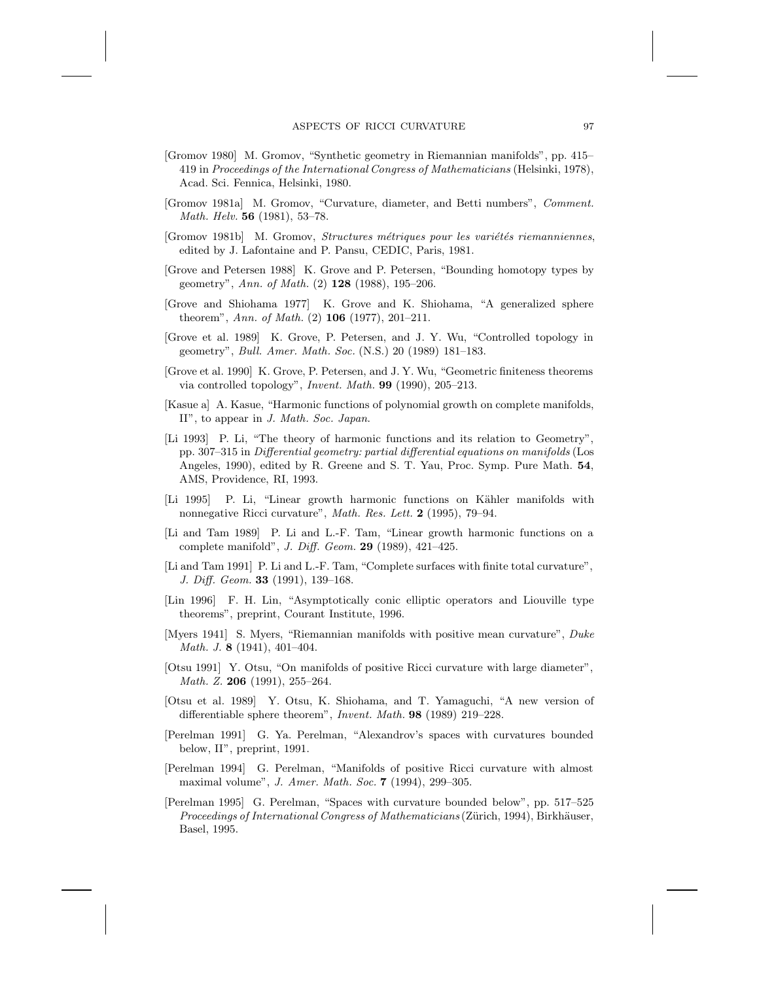- [Gromov 1980] M. Gromov, "Synthetic geometry in Riemannian manifolds", pp. 415– 419 in Proceedings of the International Congress of Mathematicians (Helsinki, 1978), Acad. Sci. Fennica, Helsinki, 1980.
- [Gromov 1981a] M. Gromov, "Curvature, diameter, and Betti numbers", Comment. Math. Helv. **56** (1981), 53–78.
- [Gromov 1981b] M. Gromov, Structures métriques pour les variétés riemanniennes, edited by J. Lafontaine and P. Pansu, CEDIC, Paris, 1981.
- [Grove and Petersen 1988] K. Grove and P. Petersen, "Bounding homotopy types by geometry", Ann. of Math. (2) **128** (1988), 195–206.
- [Grove and Shiohama 1977] K. Grove and K. Shiohama, "A generalized sphere theorem", Ann. of Math. (2) **106** (1977), 201–211.
- [Grove et al. 1989] K. Grove, P. Petersen, and J. Y. Wu, "Controlled topology in geometry", Bull. Amer. Math. Soc. (N.S.) 20 (1989) 181–183.
- [Grove et al. 1990] K. Grove, P. Petersen, and J. Y. Wu, "Geometric finiteness theorems via controlled topology", Invent. Math. **99** (1990), 205–213.
- [Kasue a] A. Kasue, "Harmonic functions of polynomial growth on complete manifolds, II", to appear in J. Math. Soc. Japan.
- [Li 1993] P. Li, "The theory of harmonic functions and its relation to Geometry", pp. 307–315 in Differential geometry: partial differential equations on manifolds (Los Angeles, 1990), edited by R. Greene and S. T. Yau, Proc. Symp. Pure Math. **54**, AMS, Providence, RI, 1993.
- [Li 1995] P. Li, "Linear growth harmonic functions on Kähler manifolds with nonnegative Ricci curvature", Math. Res. Lett. **2** (1995), 79–94.
- [Li and Tam 1989] P. Li and L.-F. Tam, "Linear growth harmonic functions on a complete manifold", J. Diff. Geom. **29** (1989), 421–425.
- [Li and Tam 1991] P. Li and L.-F. Tam, "Complete surfaces with finite total curvature", J. Diff. Geom. **33** (1991), 139–168.
- [Lin 1996] F. H. Lin, "Asymptotically conic elliptic operators and Liouville type theorems", preprint, Courant Institute, 1996.
- [Myers 1941] S. Myers, "Riemannian manifolds with positive mean curvature", Duke Math. J. **8** (1941), 401–404.
- [Otsu 1991] Y. Otsu, "On manifolds of positive Ricci curvature with large diameter", Math. Z. **206** (1991), 255–264.
- [Otsu et al. 1989] Y. Otsu, K. Shiohama, and T. Yamaguchi, "A new version of differentiable sphere theorem", Invent. Math. **98** (1989) 219–228.
- [Perelman 1991] G. Ya. Perelman, "Alexandrov's spaces with curvatures bounded below, II", preprint, 1991.
- [Perelman 1994] G. Perelman, "Manifolds of positive Ricci curvature with almost maximal volume", J. Amer. Math. Soc. **7** (1994), 299–305.
- [Perelman 1995] G. Perelman, "Spaces with curvature bounded below", pp. 517–525 Proceedings of International Congress of Mathematicians (Zürich, 1994), Birkhäuser, Basel, 1995.